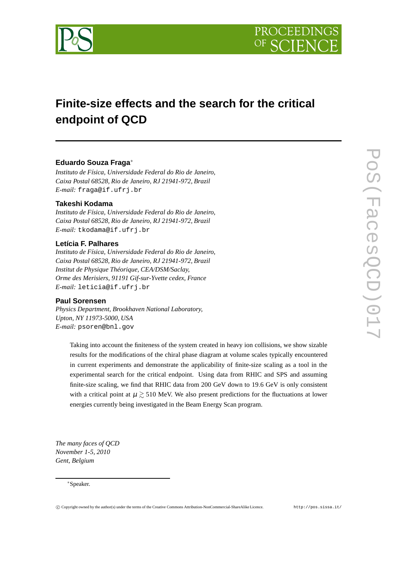

# **Finite-size effects and the search for the critical endpoint of QCD**

## **Eduardo Souza Fraga**∗

*Instituto de Física, Universidade Federal do Rio de Janeiro, Caixa Postal 68528, Rio de Janeiro, RJ 21941-972, Brazil E-mail:* fraga@if.ufrj.br

## **Takeshi Kodama**

*Instituto de Física, Universidade Federal do Rio de Janeiro, Caixa Postal 68528, Rio de Janeiro, RJ 21941-972, Brazil E-mail:* tkodama@if.ufrj.br

### **Letícia F. Palhares**

*Instituto de Física, Universidade Federal do Rio de Janeiro, Caixa Postal 68528, Rio de Janeiro, RJ 21941-972, Brazil Institut de Physique Théorique, CEA/DSM/Saclay, Orme des Merisiers, 91191 Gif-sur-Yvette cedex, France E-mail:* leticia@if.ufrj.br

### **Paul Sorensen**

*Physics Department, Brookhaven National Laboratory, Upton, NY 11973-5000, USA E-mail:* psoren@bnl.gov

Taking into account the finiteness of the system created in heavy ion collisions, we show sizable results for the modifications of the chiral phase diagram at volume scales typically encountered in current experiments and demonstrate the applicability of finite-size scaling as a tool in the experimental search for the critical endpoint. Using data from RHIC and SPS and assuming finite-size scaling, we find that RHIC data from 200 GeV down to 19.6 GeV is only consistent with a critical point at  $\mu \geq 510$  MeV. We also present predictions for the fluctuations at lower energies currently being investigated in the Beam Energy Scan program.

*The many faces of QCD November 1-5, 2010 Gent, Belgium*

#### ∗Speaker.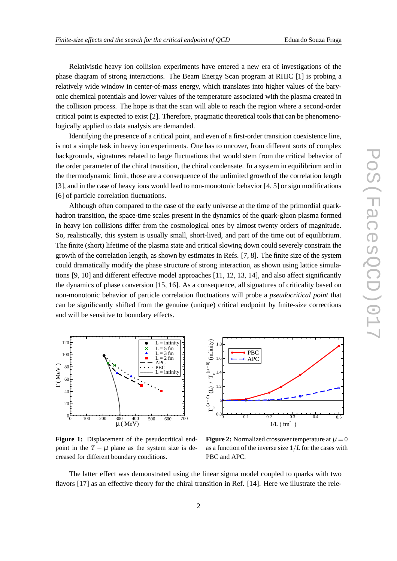Relativistic heavy ion collision experiments have entered a new era of investigations of the phase diagram of strong interactions. The Beam Energy Scan program at RHIC [1] is probing a relatively wide window in center-of-mass energy, which translates into higher values of the baryonic chemical potentials and lower values of the temperature associated with the plasma created in the collision process. The hope is that the scan will able to reach the region where a second-order critical point is expected to exist [2]. Therefore, pragmatic theoretical tools that can be phenomenologically applied to data analysis are demanded.

Identifying the presence of a critical point, and even of a first-order transition coexistence line, is not a simple task in heavy ion experiments. One has to uncover, from different sorts of complex backgrounds, signatures related to large fluctuations that would stem from the critical behavior of the order parameter of the chiral transition, the chiral condensate. In a system in equilibrium and in the thermodynamic limit, those are a consequence of the unlimited growth of the correlation length [3], and in the case of heavy ions would lead to non-monotonic behavior [4, 5] or sign modifications [6] of particle correlation fluctuations.

Although often compared to the case of the early universe at the time of the primordial quarkhadron transition, the space-time scales present in the dynamics of the quark-gluon plasma formed in heavy ion collisions differ from the cosmological ones by almost twenty orders of magnitude. So, realistically, this system is usually small, short-lived, and part of the time out of equilibrium. The finite (short) lifetime of the plasma state and critical slowing down could severely constrain the growth of the correlation length, as shown by estimates in Refs. [7, 8]. The finite size of the system could dramatically modify the phase structure of strong interaction, as shown using lattice simulations [9, 10] and different effective model approaches [11, 12, 13, 14], and also affect significantly the dynamics of phase conversion [15, 16]. As a consequence, all signatures of criticality based on non-monotonic behavior of particle correlation fluctuations will probe a *pseudocritical point* that can be significantly shifted from the genuine (unique) critical endpoint by finite-size corrections and will be sensitive to boundary effects.



Figure 1: Displacement of the pseudocritical endpoint in the  $T - \mu$  plane as the system size is decreased for different boundary conditions.



**Figure 2:** Normalized crossover temperature at  $\mu = 0$ as a function of the inverse size 1/*L* for the cases with PBC and APC.

The latter effect was demonstrated using the linear sigma model coupled to quarks with two flavors [17] as an effective theory for the chiral transition in Ref. [14]. Here we illustrate the rele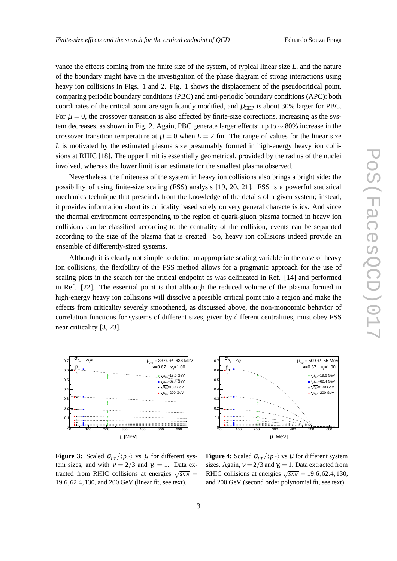vance the effects coming from the finite size of the system, of typical linear size *L*, and the nature of the boundary might have in the investigation of the phase diagram of strong interactions using heavy ion collisions in Figs. 1 and 2. Fig. 1 shows the displacement of the pseudocritical point, comparing periodic boundary conditions (PBC) and anti-periodic boundary conditions (APC): both coordinates of the critical point are significantly modified, and  $\mu_{\text{CEP}}$  is about 30% larger for PBC. For  $\mu = 0$ , the crossover transition is also affected by finite-size corrections, increasing as the system decreases, as shown in Fig. 2. Again, PBC generate larger effects: up to  $\sim 80\%$  increase in the crossover transition temperature at  $\mu = 0$  when  $L = 2$  fm. The range of values for the linear size *L* is motivated by the estimated plasma size presumably formed in high-energy heavy ion collisions at RHIC [18]. The upper limit is essentially geometrical, provided by the radius of the nuclei involved, whereas the lower limit is an estimate for the smallest plasma observed.

Nevertheless, the finiteness of the system in heavy ion collisions also brings a bright side: the possibility of using finite-size scaling (FSS) analysis [19, 20, 21]. FSS is a powerful statistical mechanics technique that prescinds from the knowledge of the details of a given system; instead, it provides information about its criticality based solely on very general characteristics. And since the thermal environment corresponding to the region of quark-gluon plasma formed in heavy ion collisions can be classified according to the centrality of the collision, events can be separated according to the size of the plasma that is created. So, heavy ion collisions indeed provide an ensemble of differently-sized systems.

Although it is clearly not simple to define an appropriate scaling variable in the case of heavy ion collisions, the flexibility of the FSS method allows for a pragmatic approach for the use of scaling plots in the search for the critical endpoint as was delineated in Ref. [14] and performed in Ref. [22]. The essential point is that although the reduced volume of the plasma formed in high-energy heavy ion collisions will dissolve a possible critical point into a region and make the effects from criticality severely smoothened, as discussed above, the non-monotonic behavior of correlation functions for systems of different sizes, given by different centralities, must obey FSS near criticality [3, 23].



µ [MeV] 0 100 200 300 400 500 600  $\overline{0}$ .  $\Omega$ .  $\overline{0}$ .  $\Omega$ .  $\overline{0}$ .  $\overline{0}$ . 0.7  $\frac{v_{p_{\tau}}}{\langle p_{\tau} \rangle}$   $\frac{L^{\gamma_{x}/\gamma}}{L^{\gamma_{y}}}$ T 〈p  $\sigma_{p_{\tau}}$  $\frac{\sigma_{p_{\tau}}}{\sigma_{\text{crit}}}$  -  $\gamma_{x/v}$   $\mu_{\text{crit}}$  = 509 +/- 55 MeV  $v=0.67$  γ<sub>x</sub>=1.00  $\sqrt{s_{nn}}$ =19.6 GeV  $\sqrt{s_{nn}}$ =62.4 GeV  $\sqrt{s_{\rm{on}}}$ =130 GeV  $\sqrt{s}$ <sub>--</sub>200 GeV

**Figure 3:** Scaled  $\sigma_{p} / \langle p \rangle$  vs  $\mu$  for different system sizes, and with  $v = 2/3$  and  $\gamma_x = 1$ . Data extracted from RHIC collisions at energies  $\sqrt{s_{NN}}$  = 19.6,62.4,130, and 200 GeV (linear fit, see text).

**Figure 4:** Scaled  $\sigma_{p} / \langle p_T \rangle$  vs  $\mu$  for different system sizes. Again,  $v = 2/3$  and  $\gamma$ <sub>x</sub> = 1. Data extracted from RHIC collisions at energies  $\sqrt{s_{NN}} = 19.6, 62.4, 130$ , and 200 GeV (second order polynomial fit, see text).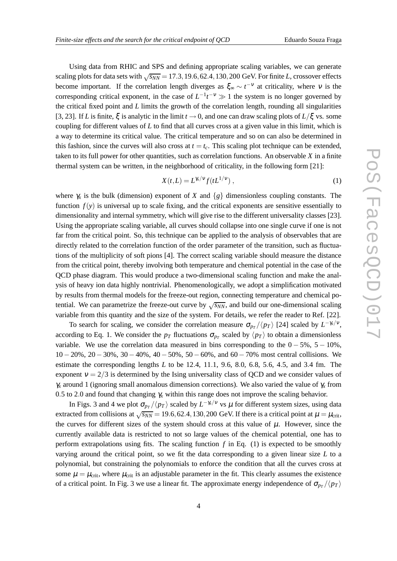Using data from RHIC and SPS and defining appropriate scaling variables, we can generate scaling plots for data sets with  $\sqrt{s_{NN}}$  = 17.3, 19.6, 62.4, 130, 200 GeV. For finite *L*, crossover effects become important. If the correlation length diverges as  $\xi_{\infty} \sim t^{-\nu}$  at criticality, where  $\nu$  is the corresponding critical exponent, in the case of  $L^{-1}t^{-\nu} \gg 1$  the system is no longer governed by the critical fixed point and *L* limits the growth of the correlation length, rounding all singularities [3, 23]. If *L* is finite,  $\xi$  is analytic in the limit  $t \to 0$ , and one can draw scaling plots of  $L/\xi$  vs. some coupling for different values of *L* to find that all curves cross at a given value in this limit, which is a way to determine its critical value. The critical temperature and so on can also be determined in this fashion, since the curves will also cross at  $t = t_c$ . This scaling plot technique can be extended, taken to its full power for other quantities, such as correlation functions. An observable *X* in a finite thermal system can be written, in the neighborhood of criticality, in the following form [21]:

$$
X(t,L) = L^{\chi/\nu} f(tL^{1/\nu}) , \qquad (1)
$$

where  $\gamma_x$  is the bulk (dimension) exponent of *X* and  $\{g\}$  dimensionless coupling constants. The function  $f(y)$  is universal up to scale fixing, and the critical exponents are sensitive essentially to dimensionality and internal symmetry, which will give rise to the different universality classes [23]. Using the appropriate scaling variable, all curves should collapse into one single curve if one is not far from the critical point. So, this technique can be applied to the analysis of observables that are directly related to the correlation function of the order parameter of the transition, such as fluctuations of the multiplicity of soft pions [4]. The correct scaling variable should measure the distance from the critical point, thereby involving both temperature and chemical potential in the case of the QCD phase diagram. This would produce a two-dimensional scaling function and make the analysis of heavy ion data highly nontrivial. Phenomenologically, we adopt a simplification motivated by results from thermal models for the freeze-out region, connecting temperature and chemical potential. We can parametrize the freeze-out curve by  $\sqrt{s_{NN}}$ , and build our one-dimensional scaling variable from this quantity and the size of the system. For details, we refer the reader to Ref. [22].

To search for scaling, we consider the correlation measure  $\sigma_{p_T}/\langle p_T \rangle$  [24] scaled by  $L^{-\gamma_x/\nu}$ , according to Eq. 1. We consider the  $p_T$  fluctuations  $\sigma_{p_T}$  scaled by  $\langle p_T \rangle$  to obtain a dimensionless variable. We use the correlation data measured in bins corresponding to the  $0 - 5\%$ ,  $5 - 10\%$ , 10− 20%, 20− 30%, 30− 40%, 40− 50%, 50− 60%, and 60− 70% most central collisions. We estimate the corresponding lengths *L* to be 12.4, 11.1, 9.6, 8.0, 6.8, 5.6, 4.5, and 3.4 fm. The exponent  $v = 2/3$  is determined by the Ising universality class of QCD and we consider values of <sup>γ</sup>*<sup>x</sup>* around 1 (ignoring small anomalous dimension corrections). We also varied the value of <sup>γ</sup>*<sup>x</sup>* from 0.5 to 2.0 and found that changing  $\gamma_x$  within this range does not improve the scaling behavior.

In Figs. 3 and 4 we plot  $\sigma_{p_T}/\langle p_T \rangle$  scaled by  $L^{-\gamma_x/\nu}$  vs  $\mu$  for different system sizes, using data extracted from collisions at  $\sqrt{s_{NN}}$  = 19.6, 62.4, 130, 200 GeV. If there is a critical point at  $\mu = \mu_{\rm crit}$ , the curves for different sizes of the system should cross at this value of  $\mu$ . However, since the currently available data is restricted to not so large values of the chemical potential, one has to perform extrapolations using fits. The scaling function  $f$  in Eq. (1) is expected to be smoothly varying around the critical point, so we fit the data corresponding to a given linear size *L* to a polynomial, but constraining the polynomials to enforce the condition that all the curves cross at some  $\mu = \mu_{\text{crit}}$ , where  $\mu_{\text{crit}}$  is an adjustable parameter in the fit. This clearly assumes the existence of a critical point. In Fig. 3 we use a linear fit. The approximate energy independence of  $\sigma_{p}$ / $\langle p_T \rangle$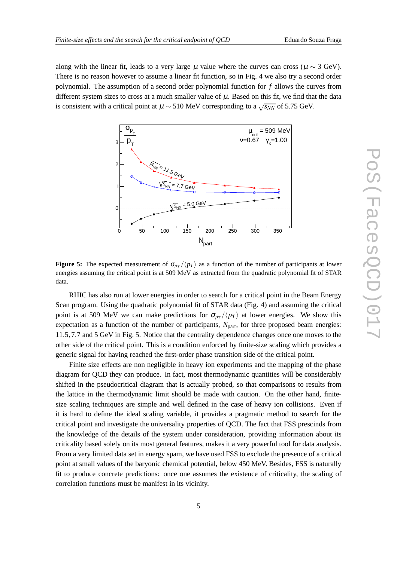along with the linear fit, leads to a very large  $\mu$  value where the curves can cross ( $\mu \sim 3$  GeV). There is no reason however to assume a linear fit function, so in Fig. 4 we also try a second order polynomial. The assumption of a second order polynomial function for *f* allows the curves from different system sizes to cross at a much smaller value of  $\mu$ . Based on this fit, we find that the data is consistent with a critical point at  $\mu \sim 510$  MeV corresponding to a  $\sqrt{s_{NN}}$  of 5.75 GeV.



**Figure 5:** The expected measurement of  $\sigma_{p}$  / $\langle p_T \rangle$  as a function of the number of participants at lower energies assuming the critical point is at 509 MeV as extracted from the quadratic polynomial fit of STAR data.

RHIC has also run at lower energies in order to search for a critical point in the Beam Energy Scan program. Using the quadratic polynomial fit of STAR data (Fig. 4) and assuming the critical point is at 509 MeV we can make predictions for  $\sigma_{p} / \langle p_T \rangle$  at lower energies. We show this expectation as a function of the number of participants, *N*<sub>part</sub>, for three proposed beam energies: 11.5,7.7 and 5 GeV in Fig. 5. Notice that the centrality dependence changes once one moves to the other side of the critical point. This is a condition enforced by finite-size scaling which provides a generic signal for having reached the first-order phase transition side of the critical point.

Finite size effects are non negligible in heavy ion experiments and the mapping of the phase diagram for QCD they can produce. In fact, most thermodynamic quantities will be considerably shifted in the pseudocritical diagram that is actually probed, so that comparisons to results from the lattice in the thermodynamic limit should be made with caution. On the other hand, finitesize scaling techniques are simple and well defined in the case of heavy ion collisions. Even if it is hard to define the ideal scaling variable, it provides a pragmatic method to search for the critical point and investigate the universality properties of QCD. The fact that FSS prescinds from the knowledge of the details of the system under consideration, providing information about its criticality based solely on its most general features, makes it a very powerful tool for data analysis. From a very limited data set in energy spam, we have used FSS to exclude the presence of a critical point at small values of the baryonic chemical potential, below 450 MeV. Besides, FSS is naturally fit to produce concrete predictions: once one assumes the existence of criticality, the scaling of correlation functions must be manifest in its vicinity.